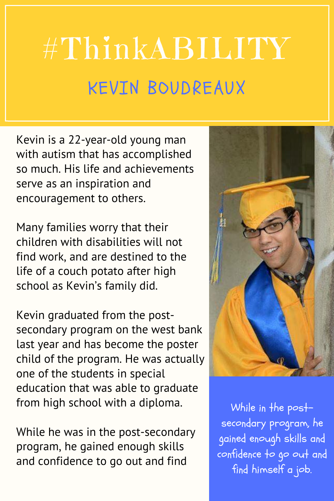## #ThinkABILITY KEVIN BOUDREAUX

Kevin is a 22-year-old young man with autism that has accomplished so much. His life and achievements serve as an inspiration and encouragement to others.

Many families worry that their children with disabilities will not find work, and are destined to the life of a couch potato after high school as Kevin's family did.

Kevin graduated from the postsecondary program on the west bank last year and has become the poster child of the program. He was actually one of the students in special education that was able to graduate from high school with a diploma.

While he was in the post-secondary program, he gained enough skills and confidence to go out and find



While in the postsecondary program, he gained enough skills and confidence to go out and find himself a job.